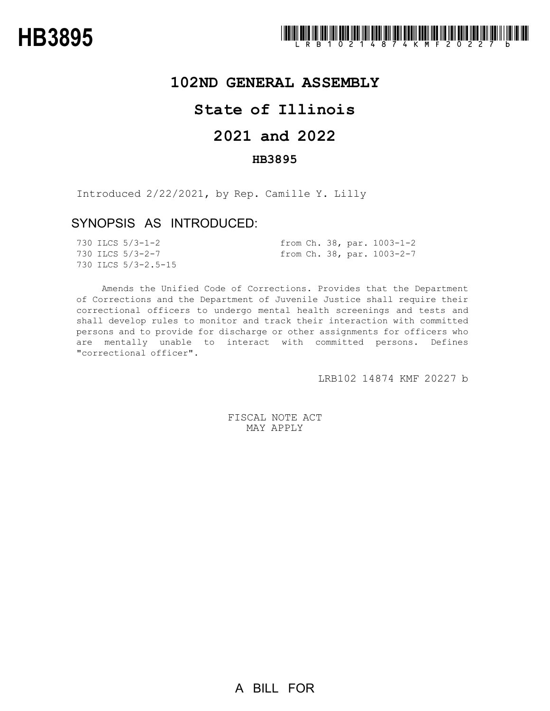## **102ND GENERAL ASSEMBLY**

# **State of Illinois**

# **2021 and 2022**

### **HB3895**

Introduced 2/22/2021, by Rep. Camille Y. Lilly

### SYNOPSIS AS INTRODUCED:

|  | 730 ILCS 5/3-1-2    | from Ch. 38, par. 1003-1-2 |  |
|--|---------------------|----------------------------|--|
|  | 730 ILCS 5/3-2-7    | from Ch. 38, par. 1003-2-7 |  |
|  | 730 ILCS 5/3-2.5-15 |                            |  |

Amends the Unified Code of Corrections. Provides that the Department of Corrections and the Department of Juvenile Justice shall require their correctional officers to undergo mental health screenings and tests and shall develop rules to monitor and track their interaction with committed persons and to provide for discharge or other assignments for officers who are mentally unable to interact with committed persons. Defines "correctional officer".

LRB102 14874 KMF 20227 b

FISCAL NOTE ACT MAY APPLY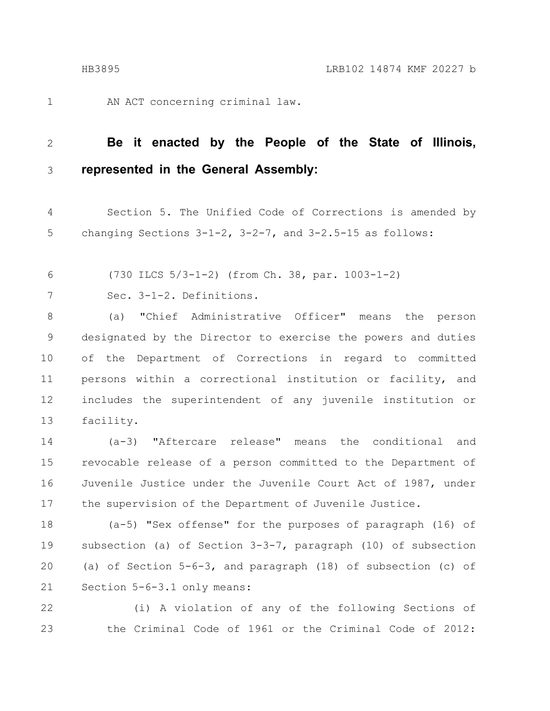1

AN ACT concerning criminal law.

#### **Be it enacted by the People of the State of Illinois, represented in the General Assembly:** 2 3

Section 5. The Unified Code of Corrections is amended by changing Sections  $3-1-2$ ,  $3-2-7$ , and  $3-2.5-15$  as follows: 4 5

(730 ILCS 5/3-1-2) (from Ch. 38, par. 1003-1-2) 6

Sec. 3-1-2. Definitions. 7

(a) "Chief Administrative Officer" means the person designated by the Director to exercise the powers and duties of the Department of Corrections in regard to committed persons within a correctional institution or facility, and includes the superintendent of any juvenile institution or facility. 8 9 10 11 12 13

(a-3) "Aftercare release" means the conditional and revocable release of a person committed to the Department of Juvenile Justice under the Juvenile Court Act of 1987, under the supervision of the Department of Juvenile Justice. 14 15 16 17

(a-5) "Sex offense" for the purposes of paragraph (16) of subsection (a) of Section 3-3-7, paragraph (10) of subsection (a) of Section 5-6-3, and paragraph (18) of subsection (c) of Section 5-6-3.1 only means: 18 19 20 21

(i) A violation of any of the following Sections of the Criminal Code of 1961 or the Criminal Code of 2012: 22 23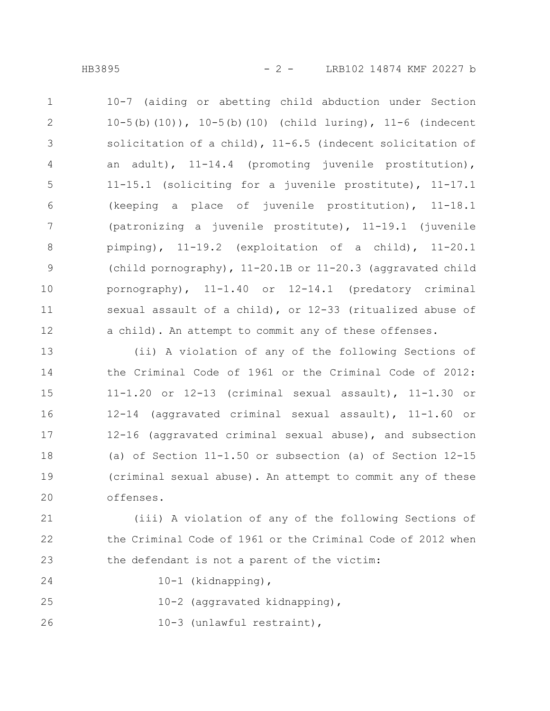10-7 (aiding or abetting child abduction under Section 10-5(b)(10)), 10-5(b)(10) (child luring), 11-6 (indecent solicitation of a child), 11-6.5 (indecent solicitation of an adult), 11-14.4 (promoting juvenile prostitution), 11-15.1 (soliciting for a juvenile prostitute), 11-17.1 (keeping a place of juvenile prostitution), 11-18.1 (patronizing a juvenile prostitute), 11-19.1 (juvenile pimping), 11-19.2 (exploitation of a child), 11-20.1 (child pornography), 11-20.1B or 11-20.3 (aggravated child pornography), 11-1.40 or 12-14.1 (predatory criminal sexual assault of a child), or 12-33 (ritualized abuse of a child). An attempt to commit any of these offenses. 1 2 3 4 5 6 7 8 9 10 11 12

(ii) A violation of any of the following Sections of the Criminal Code of 1961 or the Criminal Code of 2012: 11-1.20 or 12-13 (criminal sexual assault), 11-1.30 or 12-14 (aggravated criminal sexual assault), 11-1.60 or 12-16 (aggravated criminal sexual abuse), and subsection (a) of Section 11-1.50 or subsection (a) of Section 12-15 (criminal sexual abuse). An attempt to commit any of these offenses. 13 14 15 16 17 18 19 20

(iii) A violation of any of the following Sections of the Criminal Code of 1961 or the Criminal Code of 2012 when the defendant is not a parent of the victim: 21 22 23

10-1 (kidnapping),

24

10-2 (aggravated kidnapping), 25

10-3 (unlawful restraint), 26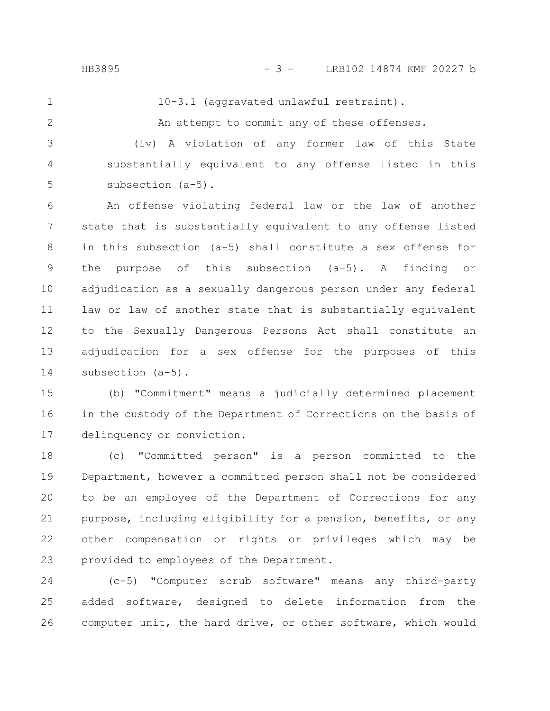### HB3895 - 3 - LRB102 14874 KMF 20227 b

1

2

10-3.1 (aggravated unlawful restraint).

An attempt to commit any of these offenses.

(iv) A violation of any former law of this State substantially equivalent to any offense listed in this subsection (a-5). 3 4 5

An offense violating federal law or the law of another state that is substantially equivalent to any offense listed in this subsection (a-5) shall constitute a sex offense for the purpose of this subsection (a-5). A finding or adjudication as a sexually dangerous person under any federal law or law of another state that is substantially equivalent to the Sexually Dangerous Persons Act shall constitute an adjudication for a sex offense for the purposes of this subsection (a-5). 6 7 8 9 10 11 12 13 14

(b) "Commitment" means a judicially determined placement in the custody of the Department of Corrections on the basis of delinquency or conviction. 15 16 17

(c) "Committed person" is a person committed to the Department, however a committed person shall not be considered to be an employee of the Department of Corrections for any purpose, including eligibility for a pension, benefits, or any other compensation or rights or privileges which may be provided to employees of the Department. 18 19 20 21 22 23

(c-5) "Computer scrub software" means any third-party added software, designed to delete information from the computer unit, the hard drive, or other software, which would 24 25 26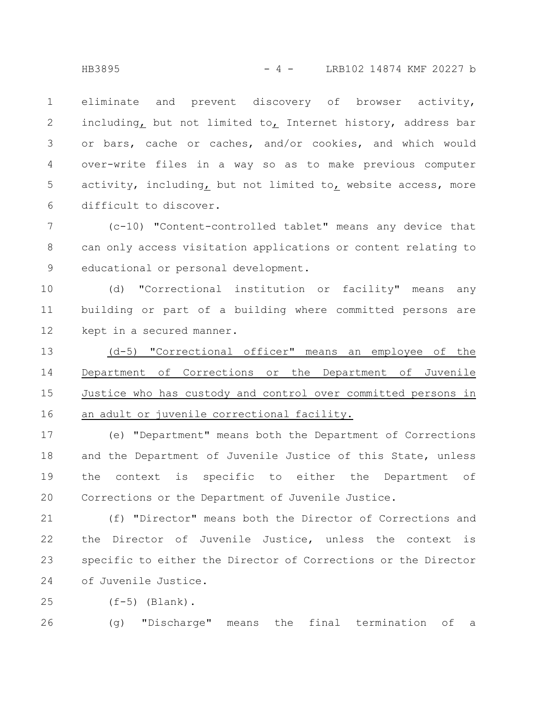eliminate and prevent discovery of browser activity, including, but not limited to, Internet history, address bar or bars, cache or caches, and/or cookies, and which would over-write files in a way so as to make previous computer activity, including, but not limited to, website access, more difficult to discover. 1 2 3 4 5 6

(c-10) "Content-controlled tablet" means any device that can only access visitation applications or content relating to educational or personal development. 7 8 9

(d) "Correctional institution or facility" means any building or part of a building where committed persons are kept in a secured manner. 10 11 12

(d-5) "Correctional officer" means an employee of the Department of Corrections or the Department of Juvenile Justice who has custody and control over committed persons in an adult or juvenile correctional facility. 13 14 15 16

(e) "Department" means both the Department of Corrections and the Department of Juvenile Justice of this State, unless the context is specific to either the Department of Corrections or the Department of Juvenile Justice. 17 18 19 20

(f) "Director" means both the Director of Corrections and the Director of Juvenile Justice, unless the context is specific to either the Director of Corrections or the Director of Juvenile Justice. 21 22 23 24

 $(f-5)$  (Blank). 25

(g) "Discharge" means the final termination of a 26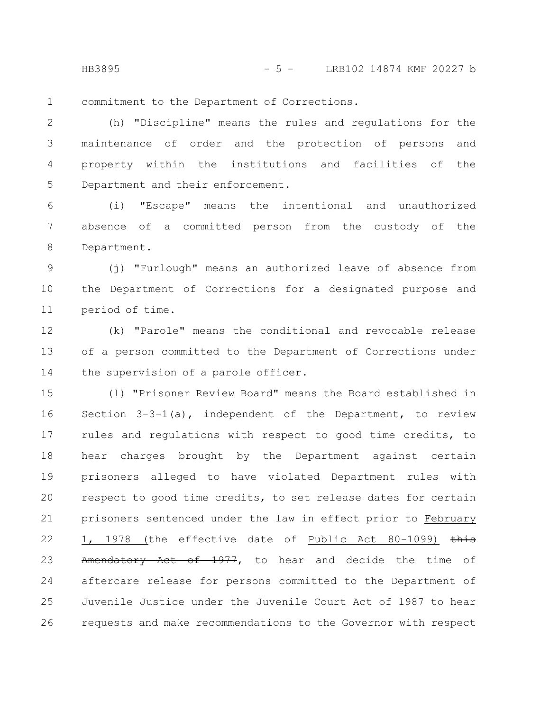HB3895 - 5 - LRB102 14874 KMF 20227 b

commitment to the Department of Corrections. 1

(h) "Discipline" means the rules and regulations for the maintenance of order and the protection of persons and property within the institutions and facilities of the Department and their enforcement. 2 3 4 5

(i) "Escape" means the intentional and unauthorized absence of a committed person from the custody of the Department. 6 7 8

(j) "Furlough" means an authorized leave of absence from the Department of Corrections for a designated purpose and period of time. 9 10 11

(k) "Parole" means the conditional and revocable release of a person committed to the Department of Corrections under the supervision of a parole officer. 12 13 14

(l) "Prisoner Review Board" means the Board established in Section 3-3-1(a), independent of the Department, to review rules and regulations with respect to good time credits, to hear charges brought by the Department against certain prisoners alleged to have violated Department rules with respect to good time credits, to set release dates for certain prisoners sentenced under the law in effect prior to February 1, 1978 (the effective date of Public Act 80-1099) this Amendatory Act of 1977, to hear and decide the time of aftercare release for persons committed to the Department of Juvenile Justice under the Juvenile Court Act of 1987 to hear requests and make recommendations to the Governor with respect 15 16 17 18 19 20 21 22 23 24 25 26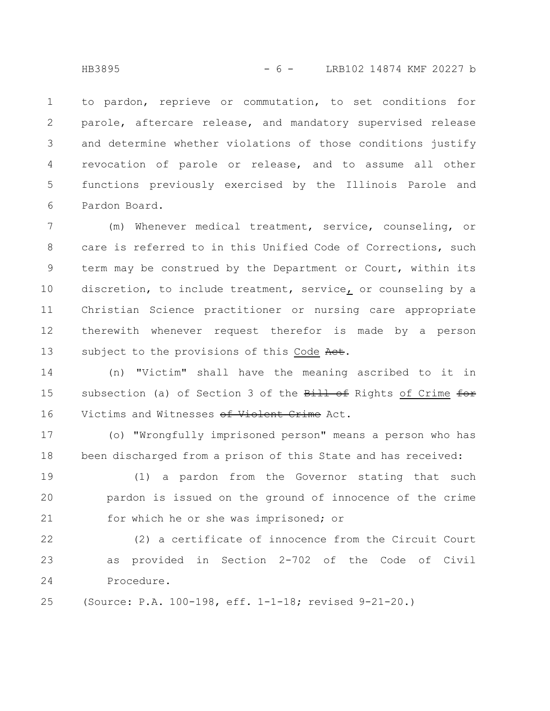to pardon, reprieve or commutation, to set conditions for parole, aftercare release, and mandatory supervised release and determine whether violations of those conditions justify revocation of parole or release, and to assume all other functions previously exercised by the Illinois Parole and Pardon Board. 1 2 3 4 5 6

(m) Whenever medical treatment, service, counseling, or care is referred to in this Unified Code of Corrections, such term may be construed by the Department or Court, within its discretion, to include treatment, service, or counseling by a Christian Science practitioner or nursing care appropriate therewith whenever request therefor is made by a person subject to the provisions of this Code Act. 7 8 9 10 11 12 13

(n) "Victim" shall have the meaning ascribed to it in subsection (a) of Section 3 of the Bill of Rights of Crime for Victims and Witnesses of Violent Crime Act. 14 15 16

(o) "Wrongfully imprisoned person" means a person who has been discharged from a prison of this State and has received: 17 18

(1) a pardon from the Governor stating that such pardon is issued on the ground of innocence of the crime for which he or she was imprisoned; or 19 20 21

(2) a certificate of innocence from the Circuit Court as provided in Section 2-702 of the Code of Civil Procedure. 22 23 24

(Source: P.A. 100-198, eff. 1-1-18; revised 9-21-20.) 25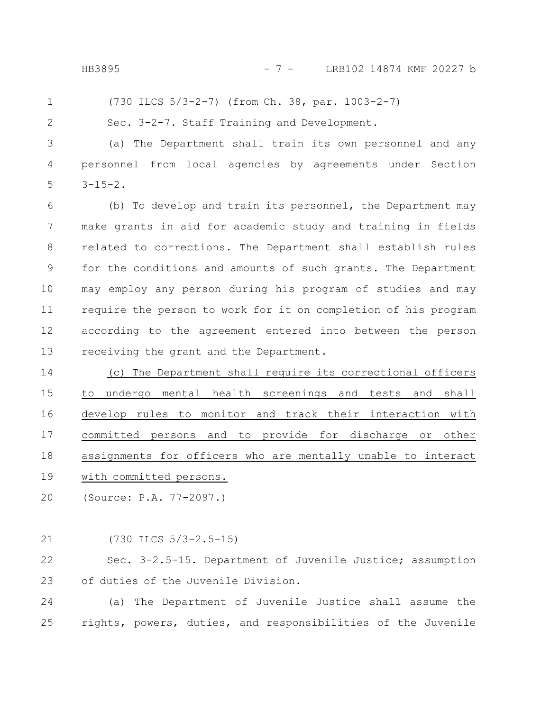- 
- (730 ILCS 5/3-2-7) (from Ch. 38, par. 1003-2-7) 1
- 2

Sec. 3-2-7. Staff Training and Development.

(a) The Department shall train its own personnel and any personnel from local agencies by agreements under Section  $3 - 15 - 2$ . 3 4 5

(b) To develop and train its personnel, the Department may make grants in aid for academic study and training in fields related to corrections. The Department shall establish rules for the conditions and amounts of such grants. The Department may employ any person during his program of studies and may require the person to work for it on completion of his program according to the agreement entered into between the person receiving the grant and the Department. 6 7 8 9 10 11 12 13

(c) The Department shall require its correctional officers to undergo mental health screenings and tests and shall develop rules to monitor and track their interaction with committed persons and to provide for discharge or other assignments for officers who are mentally unable to interact with committed persons. 14 15 16 17 18 19

(Source: P.A. 77-2097.) 20

(730 ILCS 5/3-2.5-15) 21

Sec. 3-2.5-15. Department of Juvenile Justice; assumption of duties of the Juvenile Division. 22 23

(a) The Department of Juvenile Justice shall assume the rights, powers, duties, and responsibilities of the Juvenile 24 25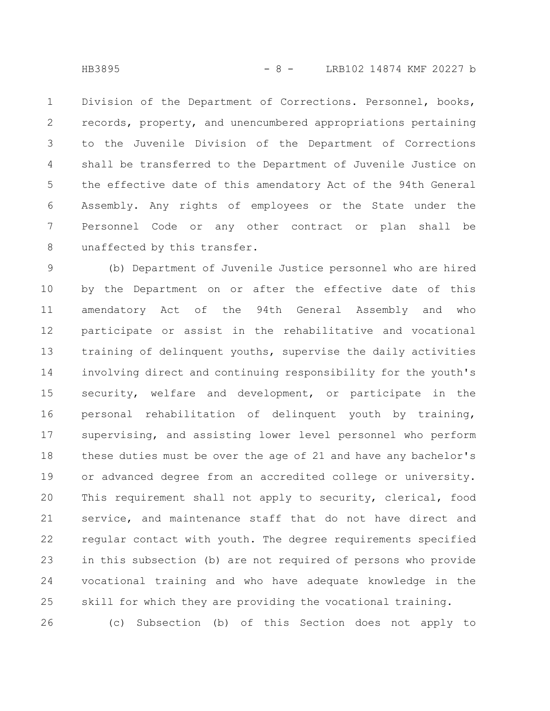Division of the Department of Corrections. Personnel, books, records, property, and unencumbered appropriations pertaining to the Juvenile Division of the Department of Corrections shall be transferred to the Department of Juvenile Justice on the effective date of this amendatory Act of the 94th General Assembly. Any rights of employees or the State under the Personnel Code or any other contract or plan shall be unaffected by this transfer. 1 2 3 4 5 6 7 8

(b) Department of Juvenile Justice personnel who are hired by the Department on or after the effective date of this amendatory Act of the 94th General Assembly and who participate or assist in the rehabilitative and vocational training of delinquent youths, supervise the daily activities involving direct and continuing responsibility for the youth's security, welfare and development, or participate in the personal rehabilitation of delinquent youth by training, supervising, and assisting lower level personnel who perform these duties must be over the age of 21 and have any bachelor's or advanced degree from an accredited college or university. This requirement shall not apply to security, clerical, food service, and maintenance staff that do not have direct and regular contact with youth. The degree requirements specified in this subsection (b) are not required of persons who provide vocational training and who have adequate knowledge in the skill for which they are providing the vocational training. 9 10 11 12 13 14 15 16 17 18 19 20 21 22 23 24 25

(c) Subsection (b) of this Section does not apply to

26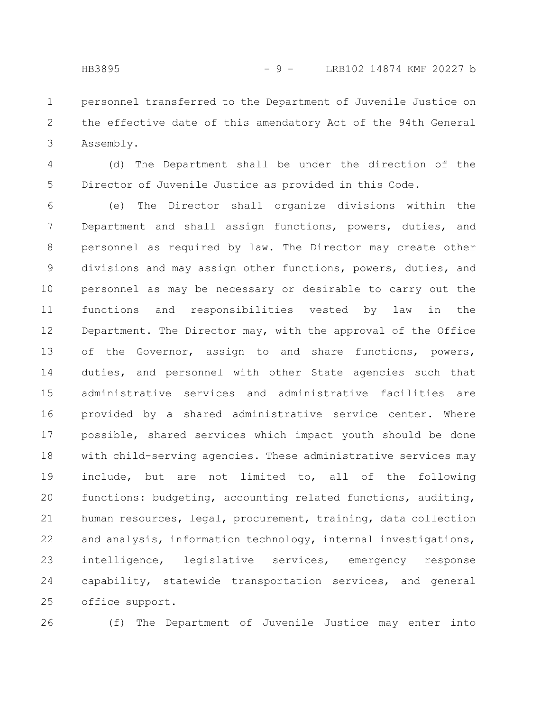personnel transferred to the Department of Juvenile Justice on the effective date of this amendatory Act of the 94th General Assembly. 1 2 3

4 5

(d) The Department shall be under the direction of the Director of Juvenile Justice as provided in this Code.

(e) The Director shall organize divisions within the Department and shall assign functions, powers, duties, and personnel as required by law. The Director may create other divisions and may assign other functions, powers, duties, and personnel as may be necessary or desirable to carry out the functions and responsibilities vested by law in the Department. The Director may, with the approval of the Office of the Governor, assign to and share functions, powers, duties, and personnel with other State agencies such that administrative services and administrative facilities are provided by a shared administrative service center. Where possible, shared services which impact youth should be done with child-serving agencies. These administrative services may include, but are not limited to, all of the following functions: budgeting, accounting related functions, auditing, human resources, legal, procurement, training, data collection and analysis, information technology, internal investigations, intelligence, legislative services, emergency response capability, statewide transportation services, and general office support. 6 7 8 9 10 11 12 13 14 15 16 17 18 19 20 21 22 23 24 25

26

(f) The Department of Juvenile Justice may enter into